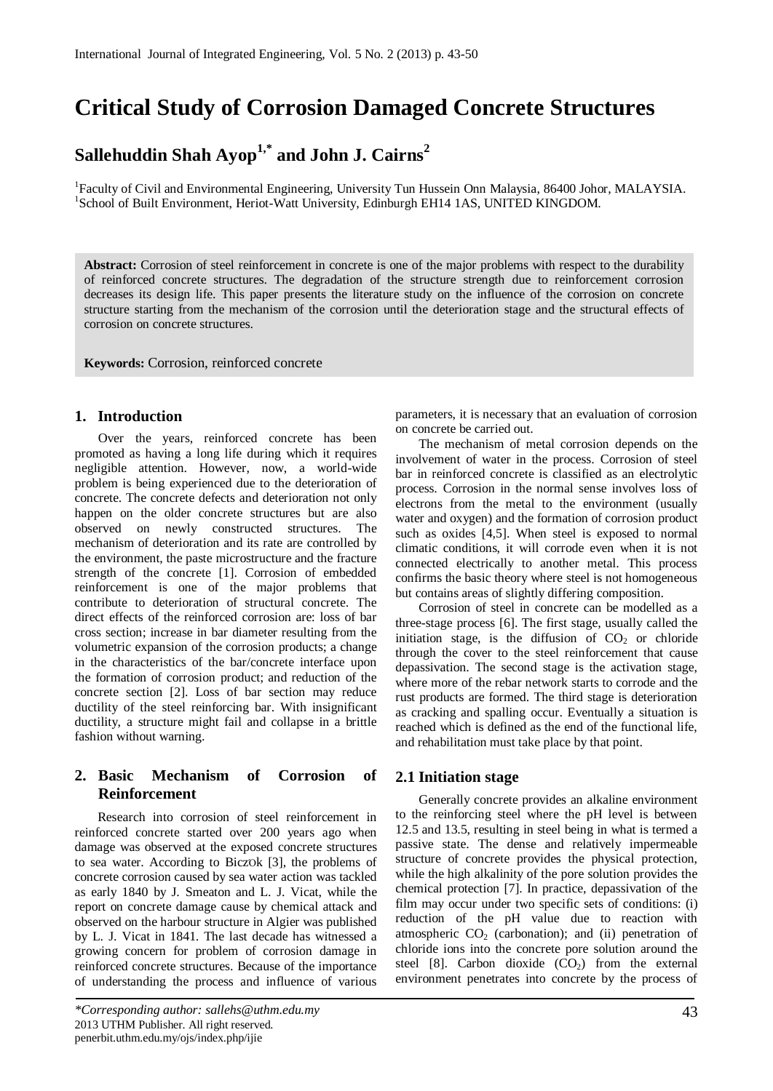## **Critical Study of Corrosion Damaged Concrete Structures**

# **Sallehuddin Shah Ayop1,\* and John J. Cairns<sup>2</sup>**

<sup>1</sup>Faculty of Civil and Environmental Engineering, University Tun Hussein Onn Malaysia, 86400 Johor, MALAYSIA. <sup>1</sup>School of Built Environment, Heriot-Watt University, Edinburgh EH14 1AS, UNITED KINGDOM.

**Abstract:** Corrosion of steel reinforcement in concrete is one of the major problems with respect to the durability of reinforced concrete structures. The degradation of the structure strength due to reinforcement corrosion decreases its design life. This paper presents the literature study on the influence of the corrosion on concrete structure starting from the mechanism of the corrosion until the deterioration stage and the structural effects of corrosion on concrete structures.

**Keywords:** Corrosion, reinforced concrete

## **1. Introduction**

Over the years, reinforced concrete has been promoted as having a long life during which it requires negligible attention. However, now, a world-wide problem is being experienced due to the deterioration of concrete. The concrete defects and deterioration not only happen on the older concrete structures but are also observed on newly constructed structures. The mechanism of deterioration and its rate are controlled by the environment, the paste microstructure and the fracture strength of the concrete [1]. Corrosion of embedded reinforcement is one of the major problems that contribute to deterioration of structural concrete. The direct effects of the reinforced corrosion are: loss of bar cross section; increase in bar diameter resulting from the volumetric expansion of the corrosion products; a change in the characteristics of the bar/concrete interface upon the formation of corrosion product; and reduction of the concrete section [2]. Loss of bar section may reduce ductility of the steel reinforcing bar. With insignificant ductility, a structure might fail and collapse in a brittle fashion without warning.

## **2. Basic Mechanism of Corrosion of Reinforcement**

Research into corrosion of steel reinforcement in reinforced concrete started over 200 years ago when damage was observed at the exposed concrete structures to sea water. According to BiczΌk [3], the problems of concrete corrosion caused by sea water action was tackled as early 1840 by J. Smeaton and L. J. Vicat, while the report on concrete damage cause by chemical attack and observed on the harbour structure in Algier was published by L. J. Vicat in 1841. The last decade has witnessed a growing concern for problem of corrosion damage in reinforced concrete structures. Because of the importance of understanding the process and influence of various

parameters, it is necessary that an evaluation of corrosion on concrete be carried out.

The mechanism of metal corrosion depends on the involvement of water in the process. Corrosion of steel bar in reinforced concrete is classified as an electrolytic process. Corrosion in the normal sense involves loss of electrons from the metal to the environment (usually water and oxygen) and the formation of corrosion product such as oxides [4,5]. When steel is exposed to normal climatic conditions, it will corrode even when it is not connected electrically to another metal. This process confirms the basic theory where steel is not homogeneous but contains areas of slightly differing composition.

Corrosion of steel in concrete can be modelled as a three-stage process [6]. The first stage, usually called the initiation stage, is the diffusion of  $CO<sub>2</sub>$  or chloride through the cover to the steel reinforcement that cause depassivation. The second stage is the activation stage, where more of the rebar network starts to corrode and the rust products are formed. The third stage is deterioration as cracking and spalling occur. Eventually a situation is reached which is defined as the end of the functional life, and rehabilitation must take place by that point.

#### **2.1 Initiation stage**

Generally concrete provides an alkaline environment to the reinforcing steel where the pH level is between 12.5 and 13.5, resulting in steel being in what is termed a passive state. The dense and relatively impermeable structure of concrete provides the physical protection, while the high alkalinity of the pore solution provides the chemical protection [7]. In practice, depassivation of the film may occur under two specific sets of conditions: (i) reduction of the pH value due to reaction with atmospheric  $CO<sub>2</sub>$  (carbonation); and (ii) penetration of chloride ions into the concrete pore solution around the steel [8]. Carbon dioxide  $(CO<sub>2</sub>)$  from the external environment penetrates into concrete by the process of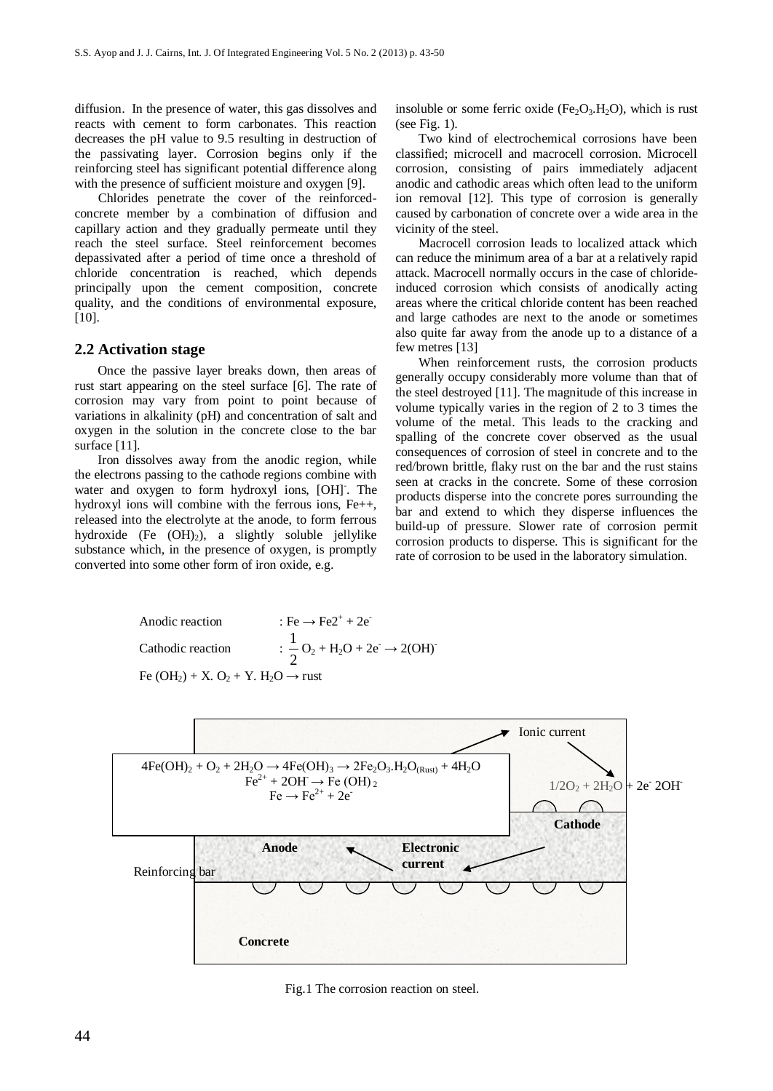diffusion. In the presence of water, this gas dissolves and reacts with cement to form carbonates. This reaction decreases the pH value to 9.5 resulting in destruction of the passivating layer. Corrosion begins only if the reinforcing steel has significant potential difference along with the presence of sufficient moisture and oxygen [9].

Chlorides penetrate the cover of the reinforcedconcrete member by a combination of diffusion and capillary action and they gradually permeate until they reach the steel surface. Steel reinforcement becomes depassivated after a period of time once a threshold of chloride concentration is reached, which depends principally upon the cement composition, concrete quality, and the conditions of environmental exposure, [10].

## **2.2 Activation stage**

Once the passive layer breaks down, then areas of rust start appearing on the steel surface [6]. The rate of corrosion may vary from point to point because of variations in alkalinity (pH) and concentration of salt and oxygen in the solution in the concrete close to the bar surface [11].

Iron dissolves away from the anodic region, while the electrons passing to the cathode regions combine with water and oxygen to form hydroxyl ions, [OH]. The hydroxyl ions will combine with the ferrous ions, Fe++, released into the electrolyte at the anode, to form ferrous hydroxide (Fe  $(OH_2)$ ), a slightly soluble jellylike substance which, in the presence of oxygen, is promptly converted into some other form of iron oxide, e.g.

insoluble or some ferric oxide (Fe<sub>2</sub>O<sub>3</sub>.H<sub>2</sub>O), which is rust (see Fig. 1).

Two kind of electrochemical corrosions have been classified; microcell and macrocell corrosion. Microcell corrosion, consisting of pairs immediately adjacent anodic and cathodic areas which often lead to the uniform ion removal [12]. This type of corrosion is generally caused by carbonation of concrete over a wide area in the vicinity of the steel.

Macrocell corrosion leads to localized attack which can reduce the minimum area of a bar at a relatively rapid attack. Macrocell normally occurs in the case of chlorideinduced corrosion which consists of anodically acting areas where the critical chloride content has been reached and large cathodes are next to the anode or sometimes also quite far away from the anode up to a distance of a few metres [13]

When reinforcement rusts, the corrosion products generally occupy considerably more volume than that of the steel destroyed [11]. The magnitude of this increase in volume typically varies in the region of 2 to 3 times the volume of the metal. This leads to the cracking and spalling of the concrete cover observed as the usual consequences of corrosion of steel in concrete and to the red/brown brittle, flaky rust on the bar and the rust stains seen at cracks in the concrete. Some of these corrosion products disperse into the concrete pores surrounding the bar and extend to which they disperse influences the build-up of pressure. Slower rate of corrosion permit corrosion products to disperse. This is significant for the rate of corrosion to be used in the laboratory simulation.





Fig.1 The corrosion reaction on steel.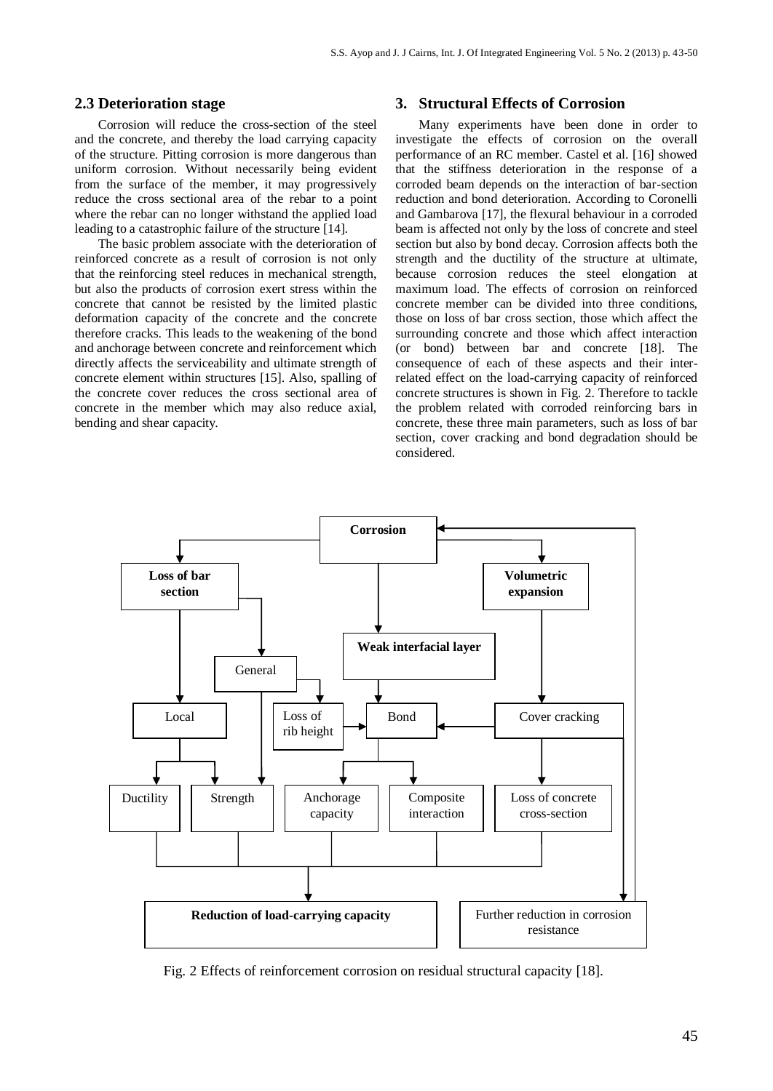#### **2.3 Deterioration stage**

Corrosion will reduce the cross-section of the steel and the concrete, and thereby the load carrying capacity of the structure. Pitting corrosion is more dangerous than uniform corrosion. Without necessarily being evident from the surface of the member, it may progressively reduce the cross sectional area of the rebar to a point where the rebar can no longer withstand the applied load leading to a catastrophic failure of the structure [14].

The basic problem associate with the deterioration of reinforced concrete as a result of corrosion is not only that the reinforcing steel reduces in mechanical strength, but also the products of corrosion exert stress within the concrete that cannot be resisted by the limited plastic deformation capacity of the concrete and the concrete therefore cracks. This leads to the weakening of the bond and anchorage between concrete and reinforcement which directly affects the serviceability and ultimate strength of concrete element within structures [15]. Also, spalling of the concrete cover reduces the cross sectional area of concrete in the member which may also reduce axial, bending and shear capacity.

## **3. Structural Effects of Corrosion**

Many experiments have been done in order to investigate the effects of corrosion on the overall performance of an RC member. Castel et al. [16] showed that the stiffness deterioration in the response of a corroded beam depends on the interaction of bar-section reduction and bond deterioration. According to Coronelli and Gambarova [17], the flexural behaviour in a corroded beam is affected not only by the loss of concrete and steel section but also by bond decay. Corrosion affects both the strength and the ductility of the structure at ultimate, because corrosion reduces the steel elongation at maximum load. The effects of corrosion on reinforced concrete member can be divided into three conditions, those on loss of bar cross section, those which affect the surrounding concrete and those which affect interaction (or bond) between bar and concrete [18]. The consequence of each of these aspects and their interrelated effect on the load-carrying capacity of reinforced concrete structures is shown in Fig. 2. Therefore to tackle the problem related with corroded reinforcing bars in concrete, these three main parameters, such as loss of bar section, cover cracking and bond degradation should be considered.



Fig. 2 Effects of reinforcement corrosion on residual structural capacity [18].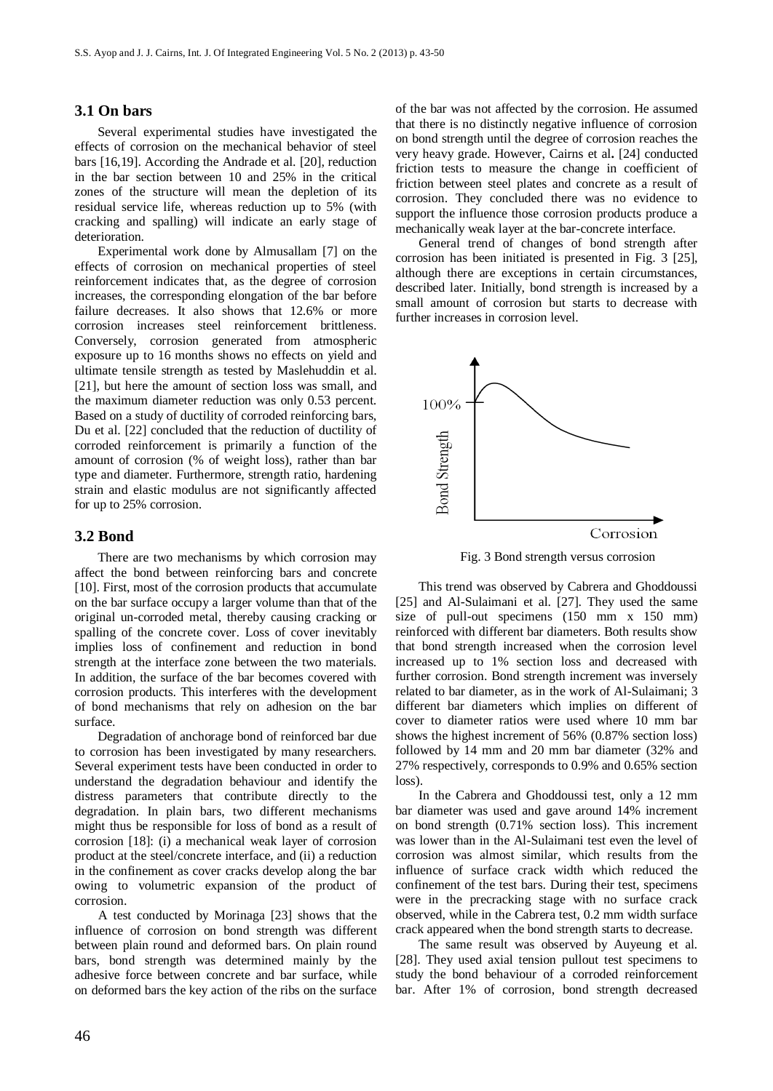#### **3.1 On bars**

Several experimental studies have investigated the effects of corrosion on the mechanical behavior of steel bars [16,19]. According the Andrade et al. [20], reduction in the bar section between 10 and 25% in the critical zones of the structure will mean the depletion of its residual service life, whereas reduction up to 5% (with cracking and spalling) will indicate an early stage of deterioration.

Experimental work done by Almusallam [7] on the effects of corrosion on mechanical properties of steel reinforcement indicates that, as the degree of corrosion increases, the corresponding elongation of the bar before failure decreases. It also shows that 12.6% or more corrosion increases steel reinforcement brittleness. Conversely, corrosion generated from atmospheric exposure up to 16 months shows no effects on yield and ultimate tensile strength as tested by Maslehuddin et al. [21], but here the amount of section loss was small, and the maximum diameter reduction was only 0.53 percent. Based on a study of ductility of corroded reinforcing bars, Du et al. [22] concluded that the reduction of ductility of corroded reinforcement is primarily a function of the amount of corrosion (% of weight loss), rather than bar type and diameter. Furthermore, strength ratio, hardening strain and elastic modulus are not significantly affected for up to 25% corrosion.

## **3.2 Bond**

There are two mechanisms by which corrosion may affect the bond between reinforcing bars and concrete [10]. First, most of the corrosion products that accumulate on the bar surface occupy a larger volume than that of the original un-corroded metal, thereby causing cracking or spalling of the concrete cover. Loss of cover inevitably implies loss of confinement and reduction in bond strength at the interface zone between the two materials. In addition, the surface of the bar becomes covered with corrosion products. This interferes with the development of bond mechanisms that rely on adhesion on the bar surface.

Degradation of anchorage bond of reinforced bar due to corrosion has been investigated by many researchers. Several experiment tests have been conducted in order to understand the degradation behaviour and identify the distress parameters that contribute directly to the degradation. In plain bars, two different mechanisms might thus be responsible for loss of bond as a result of corrosion [18]: (i) a mechanical weak layer of corrosion product at the steel/concrete interface, and (ii) a reduction in the confinement as cover cracks develop along the bar owing to volumetric expansion of the product of corrosion.

A test conducted by Morinaga [23] shows that the influence of corrosion on bond strength was different between plain round and deformed bars. On plain round bars, bond strength was determined mainly by the adhesive force between concrete and bar surface, while on deformed bars the key action of the ribs on the surface of the bar was not affected by the corrosion. He assumed that there is no distinctly negative influence of corrosion on bond strength until the degree of corrosion reaches the very heavy grade. However, Cairns et al**.** [24] conducted friction tests to measure the change in coefficient of friction between steel plates and concrete as a result of corrosion. They concluded there was no evidence to support the influence those corrosion products produce a mechanically weak layer at the bar-concrete interface.

General trend of changes of bond strength after corrosion has been initiated is presented in Fig. 3 [25], although there are exceptions in certain circumstances, described later. Initially, bond strength is increased by a small amount of corrosion but starts to decrease with further increases in corrosion level.



This trend was observed by Cabrera and Ghoddoussi [25] and Al-Sulaimani et al. [27]. They used the same size of pull-out specimens (150 mm x 150 mm) reinforced with different bar diameters. Both results show that bond strength increased when the corrosion level increased up to 1% section loss and decreased with further corrosion. Bond strength increment was inversely related to bar diameter, as in the work of Al-Sulaimani; 3 different bar diameters which implies on different of cover to diameter ratios were used where 10 mm bar shows the highest increment of 56% (0.87% section loss) followed by 14 mm and 20 mm bar diameter (32% and 27% respectively, corresponds to 0.9% and 0.65% section loss).

In the Cabrera and Ghoddoussi test, only a 12 mm bar diameter was used and gave around 14% increment on bond strength (0.71% section loss). This increment was lower than in the Al-Sulaimani test even the level of corrosion was almost similar, which results from the influence of surface crack width which reduced the confinement of the test bars. During their test, specimens were in the precracking stage with no surface crack observed, while in the Cabrera test, 0.2 mm width surface crack appeared when the bond strength starts to decrease.

The same result was observed by Auyeung et al*.* [28]. They used axial tension pullout test specimens to study the bond behaviour of a corroded reinforcement bar. After 1% of corrosion, bond strength decreased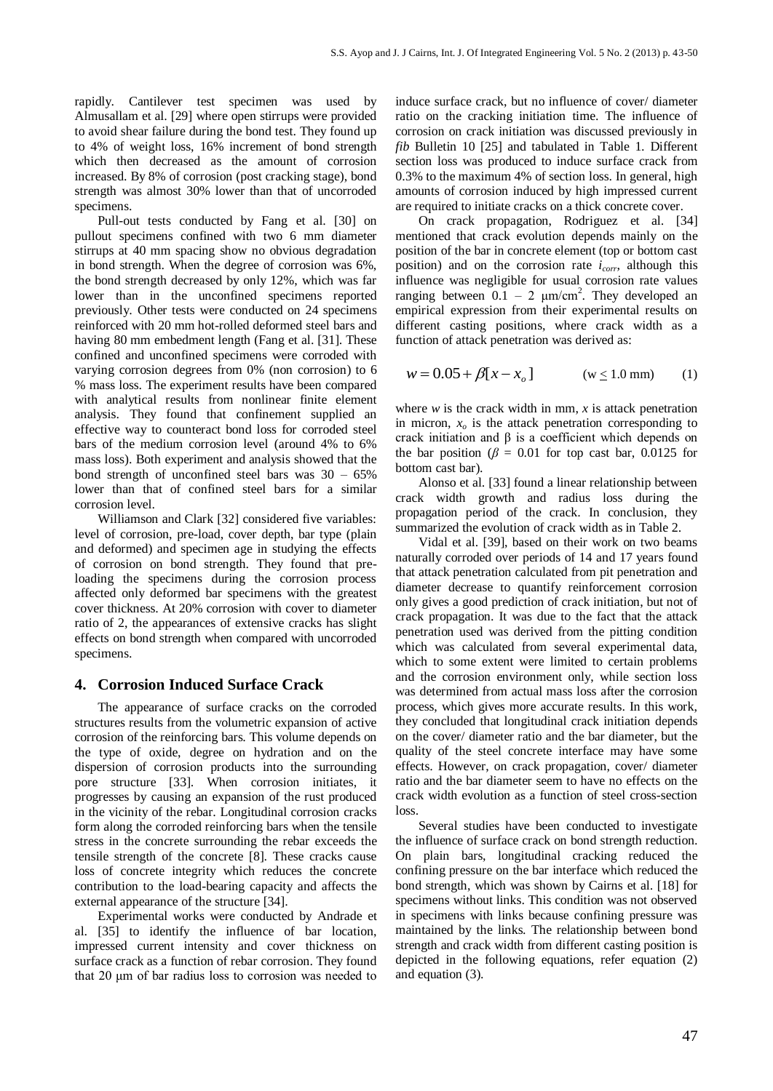rapidly. Cantilever test specimen was used by Almusallam et al. [29] where open stirrups were provided to avoid shear failure during the bond test. They found up to 4% of weight loss, 16% increment of bond strength which then decreased as the amount of corrosion increased. By 8% of corrosion (post cracking stage), bond strength was almost 30% lower than that of uncorroded specimens.

Pull-out tests conducted by Fang et al. [30] on pullout specimens confined with two 6 mm diameter stirrups at 40 mm spacing show no obvious degradation in bond strength. When the degree of corrosion was 6%, the bond strength decreased by only 12%, which was far lower than in the unconfined specimens reported previously. Other tests were conducted on 24 specimens reinforced with 20 mm hot-rolled deformed steel bars and having 80 mm embedment length (Fang et al. [31]. These confined and unconfined specimens were corroded with varying corrosion degrees from 0% (non corrosion) to 6 % mass loss. The experiment results have been compared with analytical results from nonlinear finite element analysis. They found that confinement supplied an effective way to counteract bond loss for corroded steel bars of the medium corrosion level (around 4% to 6% mass loss). Both experiment and analysis showed that the bond strength of unconfined steel bars was  $30 - 65%$ lower than that of confined steel bars for a similar corrosion level.

Williamson and Clark [32] considered five variables: level of corrosion, pre-load, cover depth, bar type (plain and deformed) and specimen age in studying the effects of corrosion on bond strength. They found that preloading the specimens during the corrosion process affected only deformed bar specimens with the greatest cover thickness. At 20% corrosion with cover to diameter ratio of 2, the appearances of extensive cracks has slight effects on bond strength when compared with uncorroded specimens.

## **4. Corrosion Induced Surface Crack**

The appearance of surface cracks on the corroded structures results from the volumetric expansion of active corrosion of the reinforcing bars. This volume depends on the type of oxide, degree on hydration and on the dispersion of corrosion products into the surrounding pore structure [33]. When corrosion initiates, it progresses by causing an expansion of the rust produced in the vicinity of the rebar. Longitudinal corrosion cracks form along the corroded reinforcing bars when the tensile stress in the concrete surrounding the rebar exceeds the tensile strength of the concrete [8]. These cracks cause loss of concrete integrity which reduces the concrete contribution to the load-bearing capacity and affects the external appearance of the structure [34].

Experimental works were conducted by Andrade et al. [35] to identify the influence of bar location, impressed current intensity and cover thickness on surface crack as a function of rebar corrosion. They found that 20 μm of bar radius loss to corrosion was needed to induce surface crack, but no influence of cover/ diameter ratio on the cracking initiation time. The influence of corrosion on crack initiation was discussed previously in *fib* Bulletin 10 [25] and tabulated in Table 1. Different section loss was produced to induce surface crack from 0.3% to the maximum 4% of section loss. In general, high amounts of corrosion induced by high impressed current are required to initiate cracks on a thick concrete cover.

On crack propagation, Rodriguez et al. [34] mentioned that crack evolution depends mainly on the position of the bar in concrete element (top or bottom cast position) and on the corrosion rate *icorr*, although this influence was negligible for usual corrosion rate values ranging between  $0.1 - 2 \mu m/cm^2$ . They developed an empirical expression from their experimental results on different casting positions, where crack width as a function of attack penetration was derived as:

$$
w = 0.05 + \beta[x - x_o]
$$
 (w \le 1.0 mm) (1)

where  $w$  is the crack width in mm,  $x$  is attack penetration in micron,  $x<sub>o</sub>$  is the attack penetration corresponding to crack initiation and β is a coefficient which depends on the bar position ( $\beta$  = 0.01 for top cast bar, 0.0125 for bottom cast bar).

Alonso et al. [33] found a linear relationship between crack width growth and radius loss during the propagation period of the crack. In conclusion, they summarized the evolution of crack width as in Table 2.

Vidal et al. [39], based on their work on two beams naturally corroded over periods of 14 and 17 years found that attack penetration calculated from pit penetration and diameter decrease to quantify reinforcement corrosion only gives a good prediction of crack initiation, but not of crack propagation. It was due to the fact that the attack penetration used was derived from the pitting condition which was calculated from several experimental data, which to some extent were limited to certain problems and the corrosion environment only, while section loss was determined from actual mass loss after the corrosion process, which gives more accurate results. In this work, they concluded that longitudinal crack initiation depends on the cover/ diameter ratio and the bar diameter, but the quality of the steel concrete interface may have some effects. However, on crack propagation, cover/ diameter ratio and the bar diameter seem to have no effects on the crack width evolution as a function of steel cross-section loss.

Several studies have been conducted to investigate the influence of surface crack on bond strength reduction. On plain bars, longitudinal cracking reduced the confining pressure on the bar interface which reduced the bond strength, which was shown by Cairns et al. [18] for specimens without links. This condition was not observed in specimens with links because confining pressure was maintained by the links. The relationship between bond strength and crack width from different casting position is depicted in the following equations, refer equation (2) and equation (3).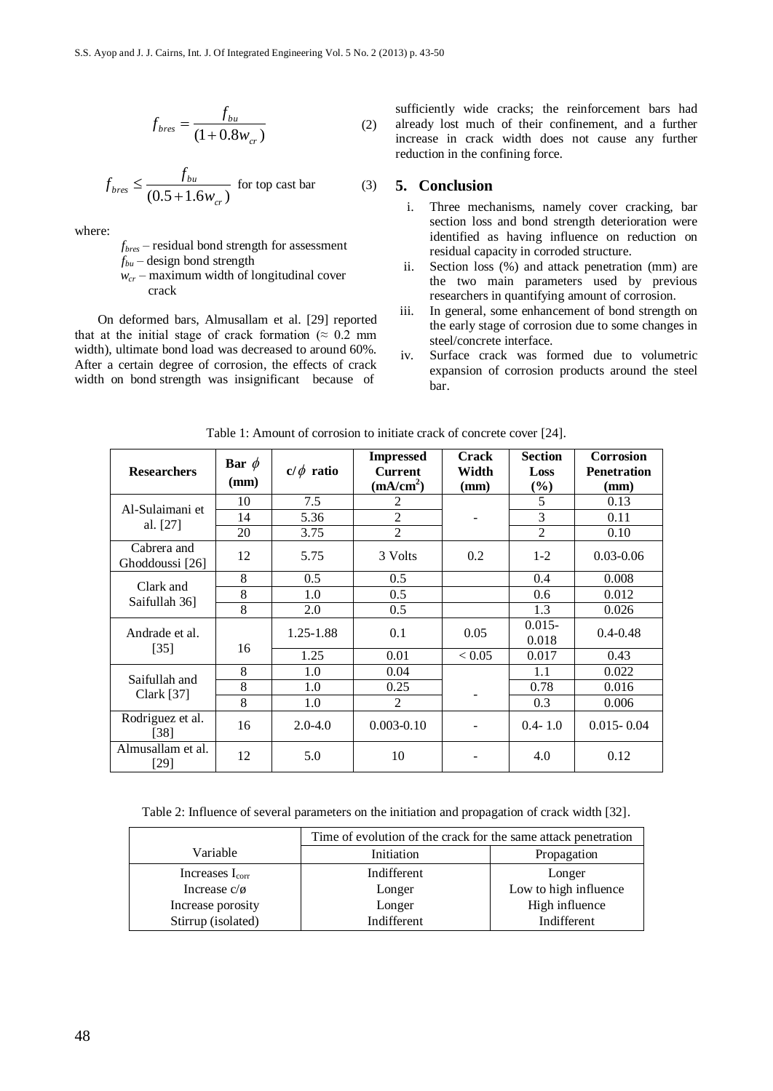$$
f_{bres} = \frac{f_{bu}}{(1 + 0.8w_{cr})}
$$
 (2)

$$
f_{bres} \le \frac{f_{bu}}{(0.5 + 1.6w_{cr})} \text{ for top cast bar} \tag{3}
$$

where:

*fbres* – residual bond strength for assessment

- *fbu* design bond strength
- *wcr* maximum width of longitudinal cover crack

On deformed bars, Almusallam et al. [29] reported that at the initial stage of crack formation ( $\approx 0.2$  mm width), ultimate bond load was decreased to around 60%. After a certain degree of corrosion, the effects of crack width on bond strength was insignificant because of sufficiently wide cracks; the reinforcement bars had already lost much of their confinement, and a further increase in crack width does not cause any further reduction in the confining force.

## **5. Conclusion**

- i. Three mechanisms, namely cover cracking, bar section loss and bond strength deterioration were identified as having influence on reduction on residual capacity in corroded structure.
- ii. Section loss (%) and attack penetration (mm) are the two main parameters used by previous researchers in quantifying amount of corrosion.
- iii. In general, some enhancement of bond strength on the early stage of corrosion due to some changes in steel/concrete interface.
- iv. Surface crack was formed due to volumetric expansion of corrosion products around the steel bar.

| <b>Researchers</b>             | Bar $\phi$<br>(mm) | $c/\phi$ ratio | <b>Impressed</b><br><b>Current</b><br>(mA/cm <sup>2</sup> ) | <b>Crack</b><br>Width<br>(mm) | <b>Section</b><br>Loss<br>$(\%)$ | <b>Corrosion</b><br><b>Penetration</b><br>(mm) |
|--------------------------------|--------------------|----------------|-------------------------------------------------------------|-------------------------------|----------------------------------|------------------------------------------------|
| Al-Sulaimani et<br>al. [27]    | 10                 | 7.5            | 2                                                           |                               | 5                                | 0.13                                           |
|                                | 14                 | 5.36           | $\overline{2}$                                              |                               | $\overline{3}$                   | 0.11                                           |
|                                | 20                 | 3.75           | $\overline{c}$                                              |                               | $\overline{2}$                   | 0.10                                           |
| Cabrera and<br>Ghoddoussi [26] | 12                 | 5.75           | 3 Volts                                                     | 0.2                           | $1 - 2$                          | $0.03 - 0.06$                                  |
| Clark and<br>Saifullah 361     | 8                  | 0.5            | 0.5                                                         |                               | 0.4                              | 0.008                                          |
|                                | 8                  | 1.0            | 0.5                                                         |                               | 0.6                              | 0.012                                          |
|                                | 8                  | 2.0            | 0.5                                                         |                               | 1.3                              | 0.026                                          |
| Andrade et al.<br>$[35]$       |                    | $1.25 - 1.88$  | 0.1                                                         | 0.05                          | $0.015 -$<br>0.018               | $0.4 - 0.48$                                   |
|                                | 16                 | 1.25           | 0.01                                                        | < 0.05                        | 0.017                            | 0.43                                           |
| Saifullah and<br>Clark $[37]$  | 8                  | 1.0            | 0.04                                                        |                               | 1.1                              | 0.022                                          |
|                                | 8                  | 1.0            | 0.25                                                        |                               | 0.78                             | 0.016                                          |
|                                | 8                  | 1.0            | 2                                                           |                               | 0.3                              | 0.006                                          |
| Rodriguez et al.<br>[38]       | 16                 | $2.0 - 4.0$    | $0.003 - 0.10$                                              |                               | $0.4 - 1.0$                      | $0.015 - 0.04$                                 |
| Almusallam et al.<br>$[29]$    | 12                 | 5.0            | 10                                                          |                               | 4.0                              | 0.12                                           |

Table 1: Amount of corrosion to initiate crack of concrete cover [24].

Table 2: Influence of several parameters on the initiation and propagation of crack width [32].

|                      | Time of evolution of the crack for the same attack penetration |                       |  |  |
|----------------------|----------------------------------------------------------------|-----------------------|--|--|
| Variable             | Initiation                                                     | Propagation           |  |  |
| Increases $I_{corr}$ | Indifferent                                                    | Longer                |  |  |
| Increase $c/\phi$    | Longer                                                         | Low to high influence |  |  |
| Increase porosity    | Longer                                                         | High influence        |  |  |
| Stirrup (isolated)   | Indifferent                                                    | Indifferent           |  |  |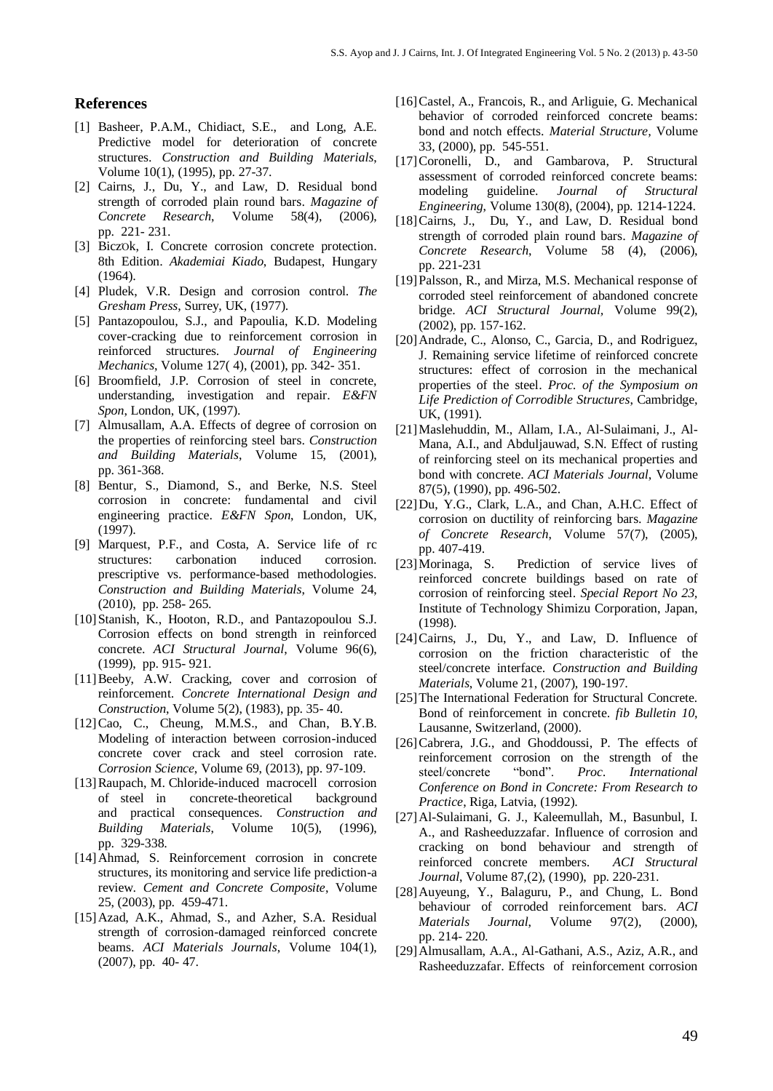#### **References**

- [1] Basheer, P.A.M., Chidiact, S.E., and Long, A.E. Predictive model for deterioration of concrete structures. *Construction and Building Materials*, Volume 10(1), (1995), pp. 27-37.
- [2] Cairns, J., Du, Y., and Law, D. Residual bond strength of corroded plain round bars. *Magazine of Concrete Research*, Volume 58(4), (2006), pp. 221- 231.
- [3] BiczOk, I. Concrete corrosion concrete protection. 8th Edition. *Akademiai Kiado*, Budapest, Hungary (1964).
- [4] Pludek, V.R. Design and corrosion control. *The Gresham Press*, Surrey, UK, (1977).
- [5] Pantazopoulou, S.J., and Papoulia, K.D. Modeling cover-cracking due to reinforcement corrosion in reinforced structures. *Journal of Engineering Mechanics*, Volume 127( 4), (2001), pp. 342- 351.
- [6] Broomfield, J.P. Corrosion of steel in concrete, understanding, investigation and repair. *E&FN Spon*, London, UK, (1997).
- [7] Almusallam, A.A. Effects of degree of corrosion on the properties of reinforcing steel bars. *Construction and Building Materials*, Volume 15, (2001), pp. 361-368.
- [8] Bentur, S., Diamond, S., and Berke, N.S. Steel corrosion in concrete: fundamental and civil engineering practice. *E&FN Spon*, London, UK, (1997).
- [9] Marquest, P.F., and Costa, A. Service life of rc structures: carbonation induced corrosion. prescriptive vs. performance-based methodologies. *Construction and Building Materials*, Volume 24, (2010), pp. 258- 265.
- [10]Stanish, K., Hooton, R.D., and Pantazopoulou S.J. Corrosion effects on bond strength in reinforced concrete. *ACI Structural Journal*, Volume 96(6), (1999), pp. 915- 921.
- [11] Beeby, A.W. Cracking, cover and corrosion of reinforcement. *Concrete International Design and Construction*, Volume 5(2), (1983), pp. 35- 40.
- [12]Cao, C., Cheung, M.M.S., and Chan, B.Y.B. Modeling of interaction between corrosion-induced concrete cover crack and steel corrosion rate. *Corrosion Science*, Volume 69, (2013), pp. 97-109.
- [13]Raupach, M. Chloride-induced macrocell corrosion of steel in concrete-theoretical background and practical consequences. *Construction and Building Materials*, Volume 10(5), (1996), pp. 329-338.
- [14]Ahmad, S. Reinforcement corrosion in concrete structures, its monitoring and service life prediction-a review. *Cement and Concrete Composite*, Volume 25, (2003), pp. 459-471.
- [15]Azad, A.K., Ahmad, S., and Azher, S.A. Residual strength of corrosion-damaged reinforced concrete beams. *ACI Materials Journals*, Volume 104(1), (2007), pp. 40- 47.
- [16] Castel, A., Francois, R., and Arliguie, G. Mechanical behavior of corroded reinforced concrete beams: bond and notch effects. *Material Structure,* Volume 33, (2000), pp. 545-551.
- [17]Coronelli, D., and Gambarova, P. Structural assessment of corroded reinforced concrete beams: modeling guideline. *Journal of Structural Engineering*, Volume 130(8), (2004), pp. 1214-1224.
- [18]Cairns, J., Du, Y., and Law, D. Residual bond strength of corroded plain round bars. *Magazine of Concrete Research*, Volume 58 (4), (2006), pp. 221-231
- [19]Palsson, R., and Mirza, M.S. Mechanical response of corroded steel reinforcement of abandoned concrete bridge. *ACI Structural Journal,* Volume 99(2), (2002), pp. 157-162.
- [20]Andrade, C., Alonso, C., Garcia, D., and Rodriguez, J. Remaining service lifetime of reinforced concrete structures: effect of corrosion in the mechanical properties of the steel. *Proc. of the Symposium on Life Prediction of Corrodible Structures*, Cambridge, UK, (1991).
- [21]Maslehuddin, M., Allam, I.A., Al-Sulaimani, J., Al-Mana, A.I., and Abduljauwad, S.N. Effect of rusting of reinforcing steel on its mechanical properties and bond with concrete. *ACI Materials Journal*, Volume 87(5), (1990), pp. 496-502.
- [22]Du, Y.G., Clark, L.A., and Chan, A.H.C. Effect of corrosion on ductility of reinforcing bars. *Magazine of Concrete Research*, Volume 57(7), (2005), pp. 407-419.
- [23]Morinaga, S. Prediction of service lives of reinforced concrete buildings based on rate of corrosion of reinforcing steel. *Special Report No 23,*  Institute of Technology Shimizu Corporation, Japan, (1998).
- [24]Cairns, J., Du, Y., and Law, D. Influence of corrosion on the friction characteristic of the steel/concrete interface. *Construction and Building Materials*, Volume 21, (2007), 190-197.
- [25]The International Federation for Structural Concrete*.* Bond of reinforcement in concrete. *fib Bulletin 10*, Lausanne, Switzerland, (2000).
- [26]Cabrera, J.G., and Ghoddoussi, P. The effects of reinforcement corrosion on the strength of the steel/concrete "bond". *Proc. International Conference on Bond in Concrete: From Research to Practice*, Riga, Latvia, (1992).
- [27]Al-Sulaimani, G. J., Kaleemullah, M., Basunbul, I. A., and Rasheeduzzafar. Influence of corrosion and cracking on bond behaviour and strength of reinforced concrete members. *ACI Structural Journal*, Volume 87,(2), (1990), pp. 220-231.
- [28]Auyeung, Y., Balaguru, P., and Chung, L. Bond behaviour of corroded reinforcement bars. *ACI Materials Journal*, Volume 97(2), (2000), pp. 214- 220.
- [29]Almusallam, A.A., Al-Gathani, A.S., Aziz, A.R., and Rasheeduzzafar. Effects of reinforcement corrosion